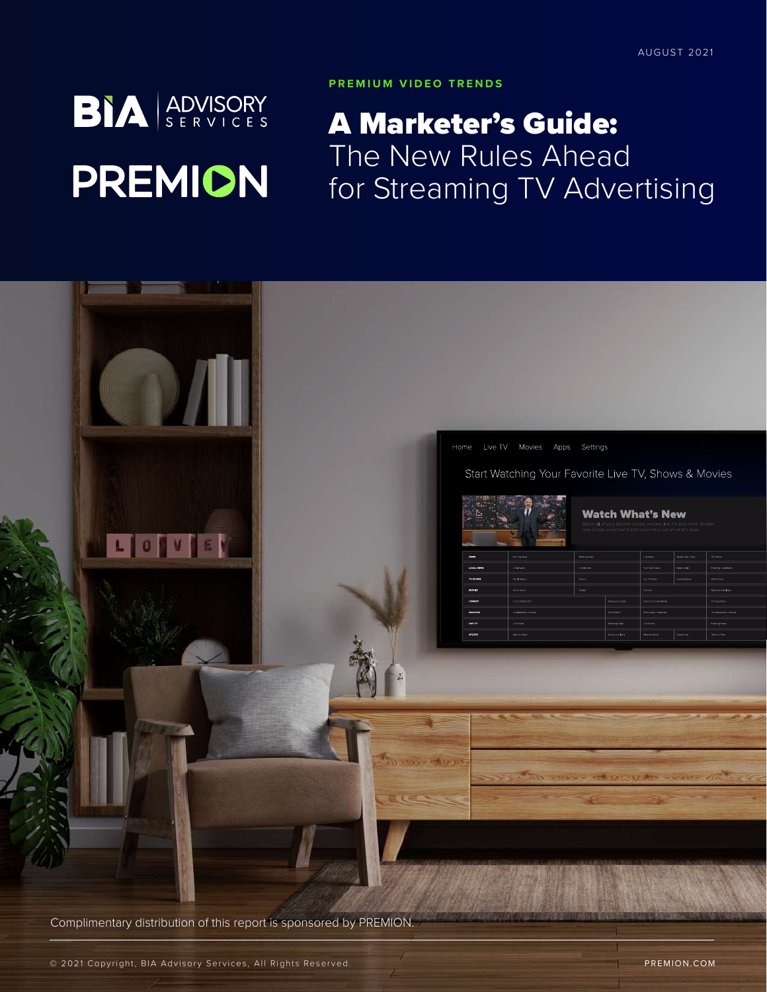# **BIA** ADVISORY **PREMION**

#### **PREMIUM VIDEO TRENDS**

# A Marketer's Guide: The New Rules Ahead for Streaming TV Advertising



Complimentary distribution of this report is sponsored by PREMION.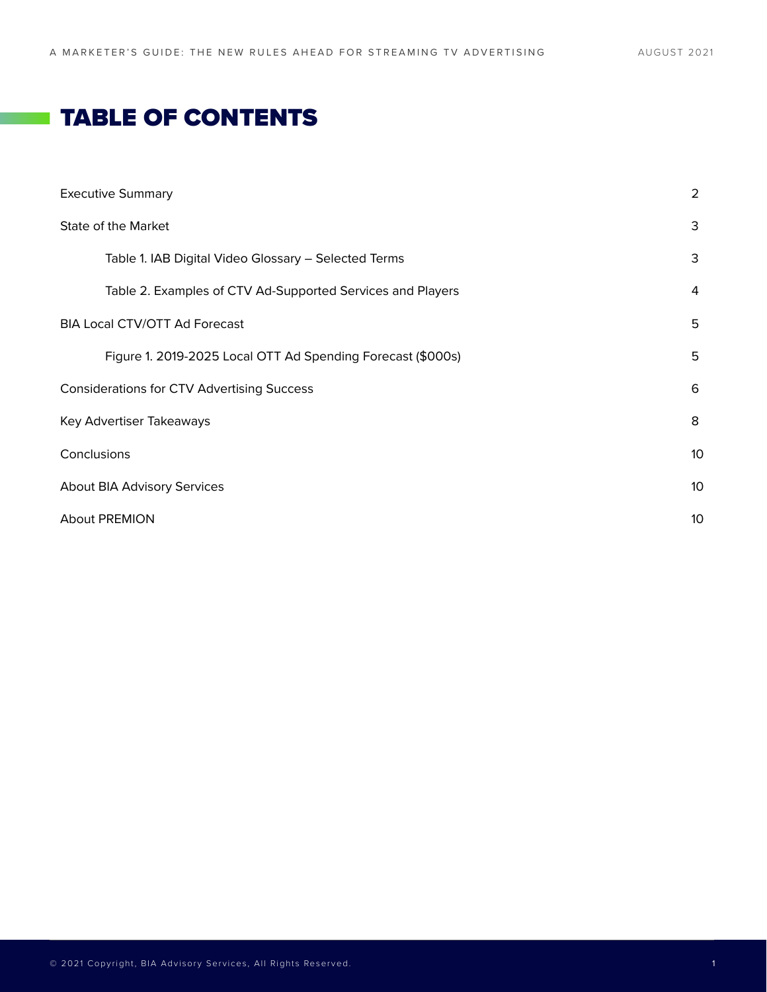# **TABLE OF CONTENTS**

| <b>Executive Summary</b>                                    | 2 |  |  |
|-------------------------------------------------------------|---|--|--|
| State of the Market                                         |   |  |  |
| Table 1. IAB Digital Video Glossary - Selected Terms        | 3 |  |  |
| Table 2. Examples of CTV Ad-Supported Services and Players  | 4 |  |  |
| <b>BIA Local CTV/OTT Ad Forecast</b>                        |   |  |  |
| Figure 1. 2019-2025 Local OTT Ad Spending Forecast (\$000s) | 5 |  |  |
| <b>Considerations for CTV Advertising Success</b>           |   |  |  |
| Key Advertiser Takeaways                                    |   |  |  |
| Conclusions                                                 |   |  |  |
| About BIA Advisory Services                                 |   |  |  |
| <b>About PREMION</b>                                        |   |  |  |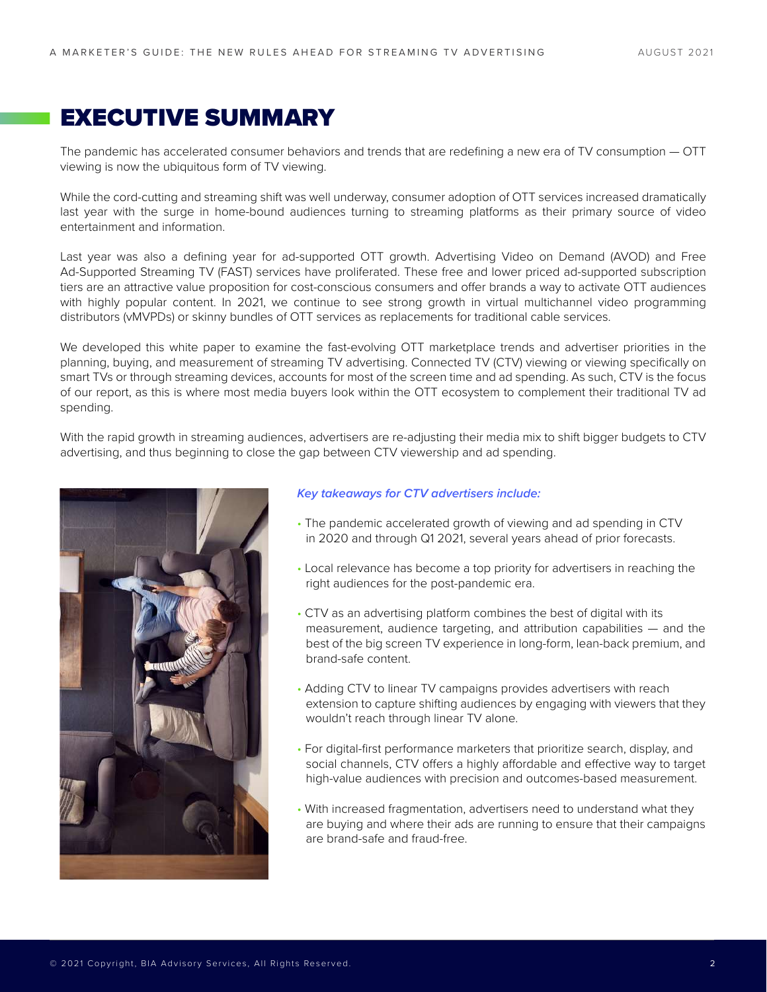# EXECUTIVE SUMMARY

The pandemic has accelerated consumer behaviors and trends that are redefining a new era of TV consumption — OTT viewing is now the ubiquitous form of TV viewing.

While the cord-cutting and streaming shift was well underway, consumer adoption of OTT services increased dramatically last year with the surge in home-bound audiences turning to streaming platforms as their primary source of video entertainment and information.

Last year was also a defining year for ad-supported OTT growth. Advertising Video on Demand (AVOD) and Free Ad-Supported Streaming TV (FAST) services have proliferated. These free and lower priced ad-supported subscription tiers are an attractive value proposition for cost-conscious consumers and offer brands a way to activate OTT audiences with highly popular content. In 2021, we continue to see strong growth in virtual multichannel video programming distributors (vMVPDs) or skinny bundles of OTT services as replacements for traditional cable services.

We developed this white paper to examine the fast-evolving OTT marketplace trends and advertiser priorities in the planning, buying, and measurement of streaming TV advertising. Connected TV (CTV) viewing or viewing specifically on smart TVs or through streaming devices, accounts for most of the screen time and ad spending. As such, CTV is the focus of our report, as this is where most media buyers look within the OTT ecosystem to complement their traditional TV ad spending.

With the rapid growth in streaming audiences, advertisers are re-adjusting their media mix to shift bigger budgets to CTV advertising, and thus beginning to close the gap between CTV viewership and ad spending.



#### *Key takeaways for CTV advertisers include:*

- The pandemic accelerated growth of viewing and ad spending in CTV in 2020 and through Q1 2021, several years ahead of prior forecasts.
- Local relevance has become a top priority for advertisers in reaching the right audiences for the post-pandemic era.
- CTV as an advertising platform combines the best of digital with its measurement, audience targeting, and attribution capabilities — and the best of the big screen TV experience in long-form, lean-back premium, and brand-safe content.
- Adding CTV to linear TV campaigns provides advertisers with reach extension to capture shifting audiences by engaging with viewers that they wouldn't reach through linear TV alone.
- For digital-first performance marketers that prioritize search, display, and social channels, CTV offers a highly affordable and effective way to target high-value audiences with precision and outcomes-based measurement.
- With increased fragmentation, advertisers need to understand what they are buying and where their ads are running to ensure that their campaigns are brand-safe and fraud-free.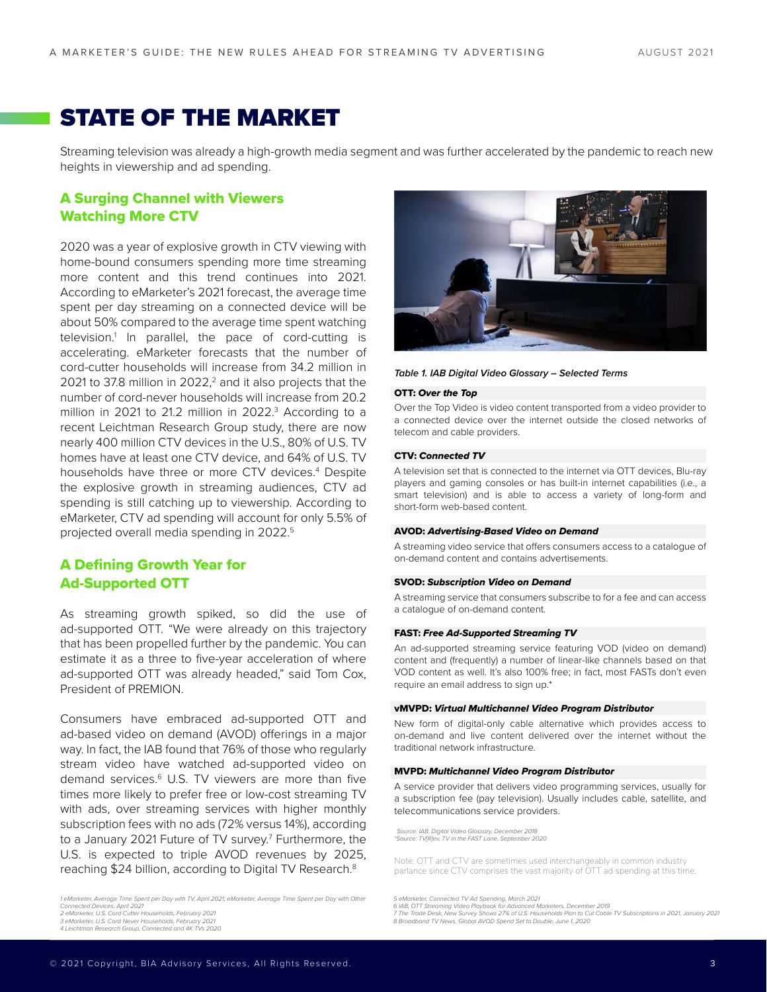# STATE OF THE MARKET

Streaming television was already a high-growth media segment and was further accelerated by the pandemic to reach new heights in viewership and ad spending.

#### A Surging Channel with Viewers Watching More CTV

2020 was a year of explosive growth in CTV viewing with home-bound consumers spending more time streaming more content and this trend continues into 2021. According to eMarketer's 2021 forecast, the average time spent per day streaming on a connected device will be about 50% compared to the average time spent watching television.1 In parallel, the pace of cord-cutting is accelerating. eMarketer forecasts that the number of cord-cutter households will increase from 34.2 million in 2021 to 37.8 million in 2022, $<sup>2</sup>$  and it also projects that the</sup> number of cord-never households will increase from 20.2 million in 2021 to 21.2 million in 2022.<sup>3</sup> According to a recent Leichtman Research Group study, there are now nearly 400 million CTV devices in the U.S., 80% of U.S. TV homes have at least one CTV device, and 64% of U.S. TV households have three or more CTV devices.4 Despite the explosive growth in streaming audiences, CTV ad spending is still catching up to viewership. According to eMarketer, CTV ad spending will account for only 5.5% of projected overall media spending in 2022.5

#### A Defining Growth Year for Ad-Supported OTT

As streaming growth spiked, so did the use of ad-supported OTT. "We were already on this trajectory that has been propelled further by the pandemic. You can estimate it as a three to five-year acceleration of where ad-supported OTT was already headed," said Tom Cox, President of PREMION.

Consumers have embraced ad-supported OTT and ad-based video on demand (AVOD) offerings in a major way. In fact, the IAB found that 76% of those who regularly stream video have watched ad-supported video on demand services.<sup>6</sup> U.S. TV viewers are more than five times more likely to prefer free or low-cost streaming TV with ads, over streaming services with higher monthly subscription fees with no ads (72% versus 14%), according to a January 2021 Future of TV survey.<sup>7</sup> Furthermore, the U.S. is expected to triple AVOD revenues by 2025, reaching \$24 billion, according to Digital TV Research.<sup>8</sup>

*1 eMarketer, Average Time Spent per Day with TV, April 2021; eMarketer, Average Time Spent per Day with Other Connected Devices, April 2021 2 eMarketer, U.S. Cord Cutter Households, February 2021*

*4 Leichtman Research Group, Connected and 4K TVs 2020*



#### *Table 1. IAB Digital Video Glossary – Selected Terms*

#### OTT: *Over the Top*

Over the Top Video is video content transported from a video provider to a connected device over the internet outside the closed networks of telecom and cable providers.

#### CTV: *Connected TV*

A television set that is connected to the internet via OTT devices, Blu-ray players and gaming consoles or has built-in internet capabilities (i.e., a smart television) and is able to access a variety of long-form and short-form web-based content.

#### AVOD: *Advertising-Based Video on Demand*

A streaming video service that offers consumers access to a catalogue of on-demand content and contains advertisements.

#### SVOD: *Subscription Video on Demand*

A streaming service that consumers subscribe to for a fee and can access a catalogue of on-demand content.

#### FAST: *Free Ad-Supported Streaming TV*

An ad-supported streaming service featuring VOD (video on demand) content and (frequently) a number of linear-like channels based on that VOD content as well. It's also 100% free; in fact, most FASTs don't even require an email address to sign up.\*

#### vMVPD: *Virtual Multichannel Video Program Distributor*

New form of digital-only cable alternative which provides access to on-demand and live content delivered over the internet without the traditional network infrastructure.

#### MVPD: *Multichannel Video Program Distributor*

A service provider that delivers video programming services, usually for a subscription fee (pay television). Usually includes cable, satellite, and telecommunications service providers.

*Source: IAB, Digital Video Glossary, December 2018 \*Source: TV[R]ev, TV in the FAST Lane, September 2020*

Note: OTT and CTV are sometimes used interchangeably in common industry parlance since CTV comprises the vast majority of OTT ad spending at this time.

5 eMarketer, Connected TV Ad Spending, March 2021<br>6 IAB, OTT Streaming Video Playbook for Advanced Marketers, December 2019<br>7 The Trade Desk, New Survey Shows 27% of U.S. Households Plan to Cut Cable TV Subscriptions in 20

*<sup>3</sup> eMarketer, U.S. Cord Never Households, February 2021*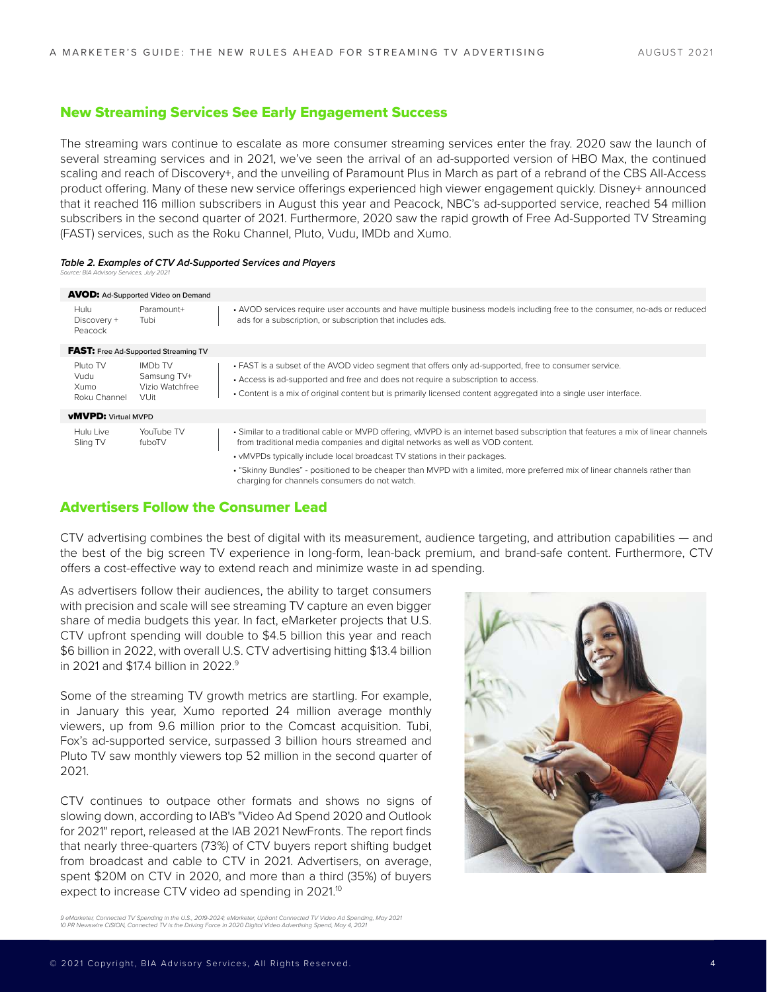#### New Streaming Services See Early Engagement Success

The streaming wars continue to escalate as more consumer streaming services enter the fray. 2020 saw the launch of several streaming services and in 2021, we've seen the arrival of an ad-supported version of HBO Max, the continued scaling and reach of Discovery+, and the unveiling of Paramount Plus in March as part of a rebrand of the CBS All-Access product offering. Many of these new service offerings experienced high viewer engagement quickly. Disney+ announced that it reached 116 million subscribers in August this year and Peacock, NBC's ad-supported service, reached 54 million subscribers in the second quarter of 2021. Furthermore, 2020 saw the rapid growth of Free Ad-Supported TV Streaming (FAST) services, such as the Roku Channel, Pluto, Vudu, IMDb and Xumo.

#### *Table 2. Examples of CTV Ad-Supported Services and Players*

*Source: BIA Advisory Services, July 2021* 

| <b>AVOD:</b> Ad-Supported Video on Demand                |  |                                                                                                                                                                                                                                                                                                              |  |
|----------------------------------------------------------|--|--------------------------------------------------------------------------------------------------------------------------------------------------------------------------------------------------------------------------------------------------------------------------------------------------------------|--|
| Paramount+<br>Tubi                                       |  | • AVOD services require user accounts and have multiple business models including free to the consumer, no-ads or reduced<br>ads for a subscription, or subscription that includes ads.                                                                                                                      |  |
| <b>FAST:</b> Free Ad-Supported Streaming TV              |  |                                                                                                                                                                                                                                                                                                              |  |
| <b>IMDb TV</b><br>Samsung TV+<br>Vizio Watchfree<br>VUit |  | • FAST is a subset of the AVOD video segment that offers only ad-supported, free to consumer service.<br>Access is ad-supported and free and does not require a subscription to access.<br>• Content is a mix of original content but is primarily licensed content aggregated into a single user interface. |  |
| <b>vMVPD:</b> Virtual MVPD                               |  |                                                                                                                                                                                                                                                                                                              |  |
| YouTube TV<br>fuboTV                                     |  | • Similar to a traditional cable or MVPD offering, vMVPD is an internet based subscription that features a mix of linear channels<br>from traditional media companies and digital networks as well as VOD content.<br>• vMVPDs typically include local broadcast TV stations in their packages.              |  |
|                                                          |  | • "Skinny Bundles" - positioned to be cheaper than MVPD with a limited, more preferred mix of linear channels rather than<br>charging for channels consumers do not watch.                                                                                                                                   |  |
|                                                          |  |                                                                                                                                                                                                                                                                                                              |  |

#### Advertisers Follow the Consumer Lead

CTV advertising combines the best of digital with its measurement, audience targeting, and attribution capabilities — and the best of the big screen TV experience in long-form, lean-back premium, and brand-safe content. Furthermore, CTV offers a cost-effective way to extend reach and minimize waste in ad spending.

As advertisers follow their audiences, the ability to target consumers with precision and scale will see streaming TV capture an even bigger share of media budgets this year. In fact, eMarketer projects that U.S. CTV upfront spending will double to \$4.5 billion this year and reach \$6 billion in 2022, with overall U.S. CTV advertising hitting \$13.4 billion in 2021 and \$17.4 billion in 2022.9

Some of the streaming TV growth metrics are startling. For example, in January this year, Xumo reported 24 million average monthly viewers, up from 9.6 million prior to the Comcast acquisition. Tubi, Fox's ad-supported service, surpassed 3 billion hours streamed and Pluto TV saw monthly viewers top 52 million in the second quarter of 2021.

CTV continues to outpace other formats and shows no signs of slowing down, according to IAB's "Video Ad Spend 2020 and Outlook for 2021" report, released at the IAB 2021 NewFronts. The report finds that nearly three-quarters (73%) of CTV buyers report shifting budget from broadcast and cable to CTV in 2021. Advertisers, on average, spent \$20M on CTV in 2020, and more than a third (35%) of buyers expect to increase CTV video ad spending in 2021.<sup>10</sup>



<sup>9</sup> eMarketer, Connected TV Spending in the U.S., 2019-2024; eMarketer, Upfront Connected TV Video Ad Spending, May 2021<br>10 PR Newswire CISION, Connected TV is the Driving Force in 2020 Digital Video Advertising Spend, May 4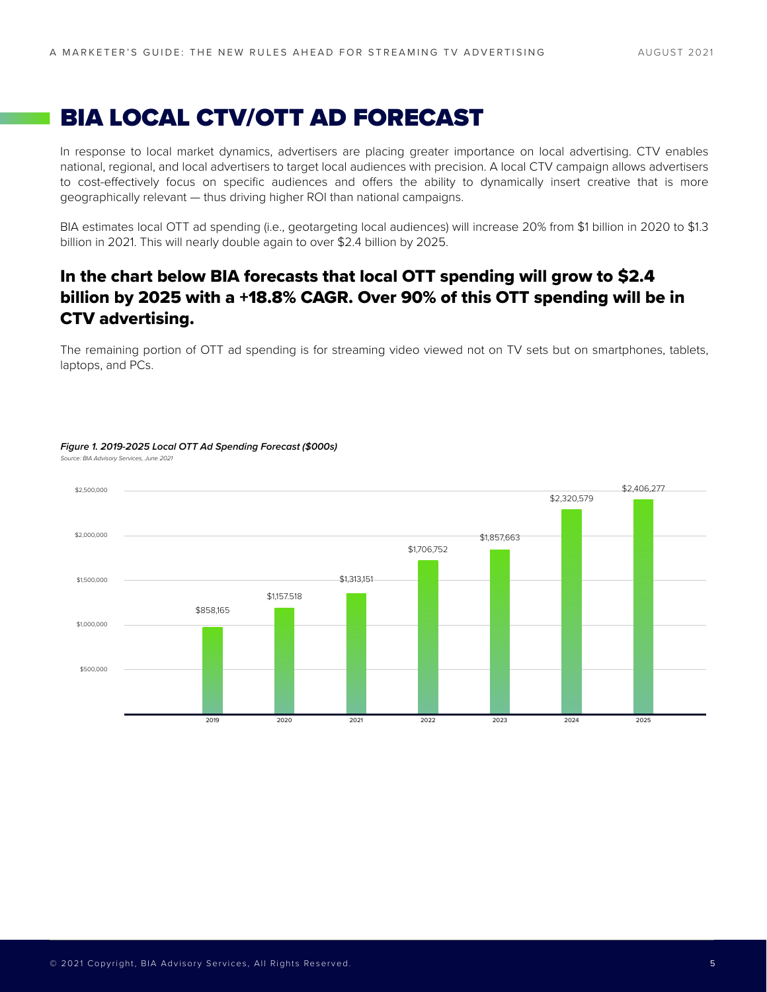# BIA LOCAL CTV/OTT AD FORECAST

In response to local market dynamics, advertisers are placing greater importance on local advertising. CTV enables national, regional, and local advertisers to target local audiences with precision. A local CTV campaign allows advertisers to cost-effectively focus on specific audiences and offers the ability to dynamically insert creative that is more geographically relevant — thus driving higher ROI than national campaigns.

BIA estimates local OTT ad spending (i.e., geotargeting local audiences) will increase 20% from \$1 billion in 2020 to \$1.3 billion in 2021. This will nearly double again to over \$2.4 billion by 2025.

### In the chart below BIA forecasts that local OTT spending will grow to \$2.4 billion by 2025 with a +18.8% CAGR. Over 90% of this OTT spending will be in CTV advertising.

The remaining portion of OTT ad spending is for streaming video viewed not on TV sets but on smartphones, tablets, laptops, and PCs.



#### *Figure 1. 2019-2025 Local OTT Ad Spending Forecast (\$000s)*

*Source: BIA Advisory Services, June 2021*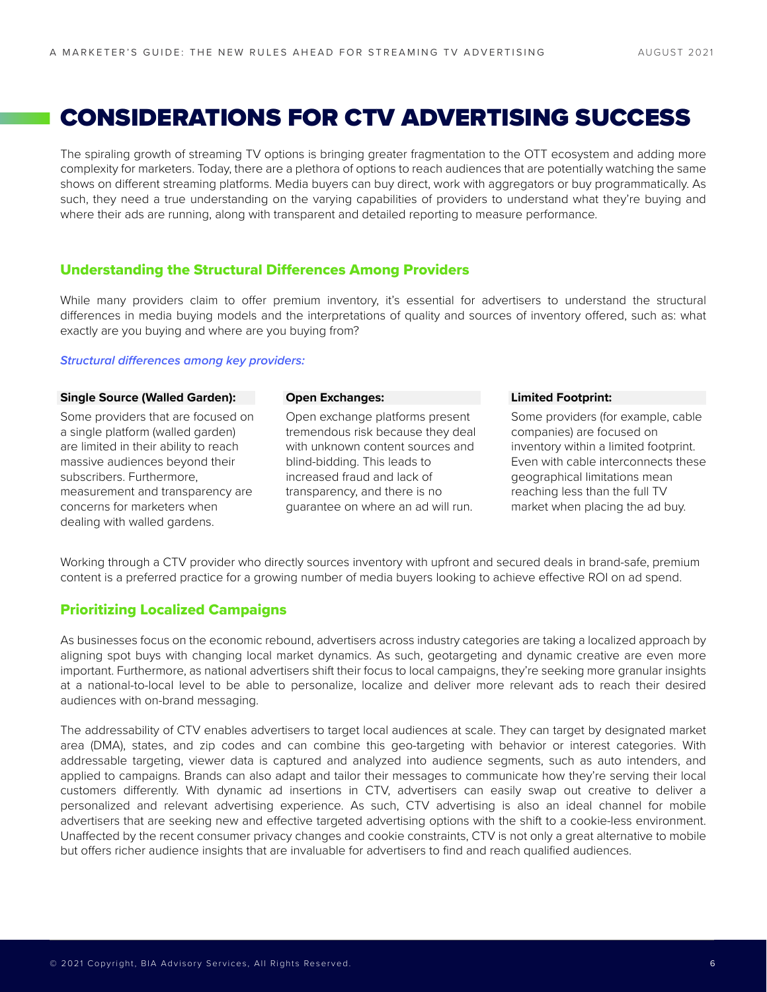# CONSIDERATIONS FOR CTV ADVERTISING SUCCESS

The spiraling growth of streaming TV options is bringing greater fragmentation to the OTT ecosystem and adding more complexity for marketers. Today, there are a plethora of options to reach audiences that are potentially watching the same shows on different streaming platforms. Media buyers can buy direct, work with aggregators or buy programmatically. As such, they need a true understanding on the varying capabilities of providers to understand what they're buying and where their ads are running, along with transparent and detailed reporting to measure performance.

#### Understanding the Structural Differences Among Providers

While many providers claim to offer premium inventory, it's essential for advertisers to understand the structural differences in media buying models and the interpretations of quality and sources of inventory offered, such as: what exactly are you buying and where are you buying from?

#### **Structural differences among key providers:**

#### **Single Source (Walled Garden):**

Some providers that are focused on a single platform (walled garden) are limited in their ability to reach massive audiences beyond their subscribers. Furthermore, measurement and transparency are concerns for marketers when dealing with walled gardens.

#### **Open Exchanges:**

Open exchange platforms present tremendous risk because they deal with unknown content sources and blind-bidding. This leads to increased fraud and lack of transparency, and there is no guarantee on where an ad will run.

#### **Limited Footprint:**

Some providers (for example, cable companies) are focused on inventory within a limited footprint. Even with cable interconnects these geographical limitations mean reaching less than the full TV market when placing the ad buy.

Working through a CTV provider who directly sources inventory with upfront and secured deals in brand-safe, premium content is a preferred practice for a growing number of media buyers looking to achieve effective ROI on ad spend.

#### Prioritizing Localized Campaigns

As businesses focus on the economic rebound, advertisers across industry categories are taking a localized approach by aligning spot buys with changing local market dynamics. As such, geotargeting and dynamic creative are even more important. Furthermore, as national advertisers shift their focus to local campaigns, they're seeking more granular insights at a national-to-local level to be able to personalize, localize and deliver more relevant ads to reach their desired audiences with on-brand messaging.

The addressability of CTV enables advertisers to target local audiences at scale. They can target by designated market area (DMA), states, and zip codes and can combine this geo-targeting with behavior or interest categories. With addressable targeting, viewer data is captured and analyzed into audience segments, such as auto intenders, and applied to campaigns. Brands can also adapt and tailor their messages to communicate how they're serving their local customers differently. With dynamic ad insertions in CTV, advertisers can easily swap out creative to deliver a personalized and relevant advertising experience. As such, CTV advertising is also an ideal channel for mobile advertisers that are seeking new and effective targeted advertising options with the shift to a cookie-less environment. Unaffected by the recent consumer privacy changes and cookie constraints, CTV is not only a great alternative to mobile but offers richer audience insights that are invaluable for advertisers to find and reach qualified audiences.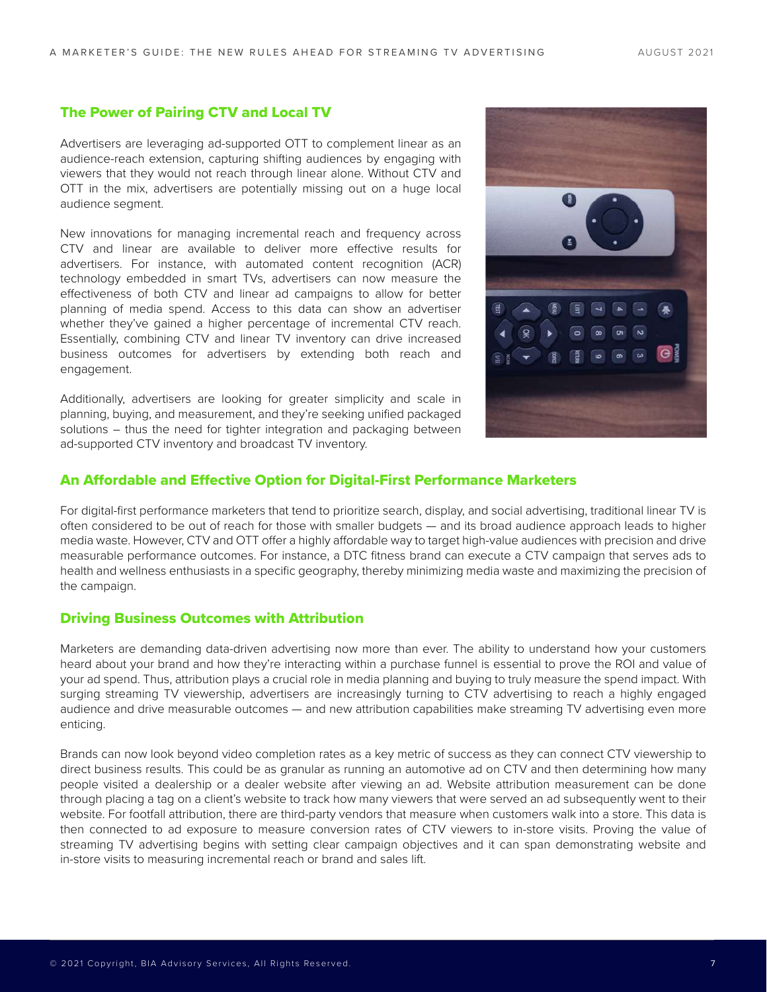#### The Power of Pairing CTV and Local TV

Advertisers are leveraging ad-supported OTT to complement linear as an audience-reach extension, capturing shifting audiences by engaging with viewers that they would not reach through linear alone. Without CTV and OTT in the mix, advertisers are potentially missing out on a huge local audience segment.

New innovations for managing incremental reach and frequency across CTV and linear are available to deliver more effective results for advertisers. For instance, with automated content recognition (ACR) technology embedded in smart TVs, advertisers can now measure the effectiveness of both CTV and linear ad campaigns to allow for better planning of media spend. Access to this data can show an advertiser whether they've gained a higher percentage of incremental CTV reach. Essentially, combining CTV and linear TV inventory can drive increased business outcomes for advertisers by extending both reach and engagement.

Additionally, advertisers are looking for greater simplicity and scale in planning, buying, and measurement, and they're seeking unified packaged solutions – thus the need for tighter integration and packaging between ad-supported CTV inventory and broadcast TV inventory.



#### An Affordable and Effective Option for Digital-First Performance Marketers

For digital-first performance marketers that tend to prioritize search, display, and social advertising, traditional linear TV is often considered to be out of reach for those with smaller budgets — and its broad audience approach leads to higher media waste. However, CTV and OTT offer a highly affordable way to target high-value audiences with precision and drive measurable performance outcomes. For instance, a DTC fitness brand can execute a CTV campaign that serves ads to health and wellness enthusiasts in a specific geography, thereby minimizing media waste and maximizing the precision of the campaign.

#### Driving Business Outcomes with Attribution

Marketers are demanding data-driven advertising now more than ever. The ability to understand how your customers heard about your brand and how they're interacting within a purchase funnel is essential to prove the ROI and value of your ad spend. Thus, attribution plays a crucial role in media planning and buying to truly measure the spend impact. With surging streaming TV viewership, advertisers are increasingly turning to CTV advertising to reach a highly engaged audience and drive measurable outcomes — and new attribution capabilities make streaming TV advertising even more enticing.

Brands can now look beyond video completion rates as a key metric of success as they can connect CTV viewership to direct business results. This could be as granular as running an automotive ad on CTV and then determining how many people visited a dealership or a dealer website after viewing an ad. Website attribution measurement can be done through placing a tag on a client's website to track how many viewers that were served an ad subsequently went to their website. For footfall attribution, there are third-party vendors that measure when customers walk into a store. This data is then connected to ad exposure to measure conversion rates of CTV viewers to in-store visits. Proving the value of streaming TV advertising begins with setting clear campaign objectives and it can span demonstrating website and in-store visits to measuring incremental reach or brand and sales lift.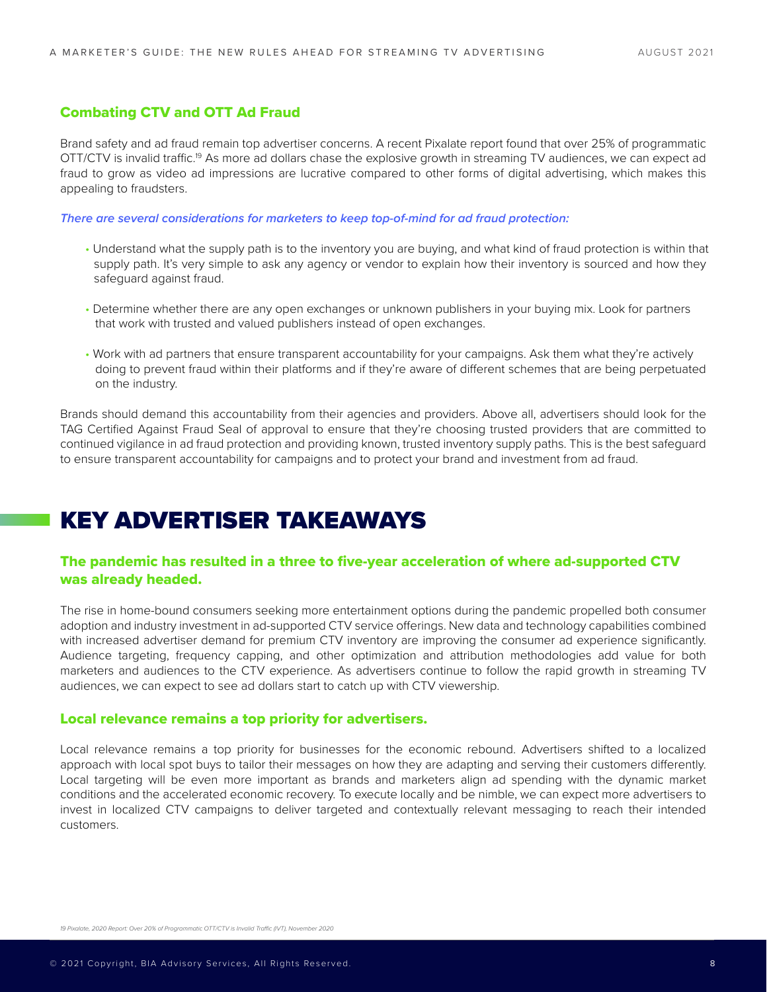#### Combating CTV and OTT Ad Fraud

Brand safety and ad fraud remain top advertiser concerns. A recent Pixalate report found that over 25% of programmatic OTT/CTV is invalid traffic.19 As more ad dollars chase the explosive growth in streaming TV audiences, we can expect ad fraud to grow as video ad impressions are lucrative compared to other forms of digital advertising, which makes this appealing to fraudsters.

*There are several considerations for marketers to keep top-of-mind for ad fraud protection:*

- Understand what the supply path is to the inventory you are buying, and what kind of fraud protection is within that supply path. It's very simple to ask any agency or vendor to explain how their inventory is sourced and how they safeguard against fraud.
- Determine whether there are any open exchanges or unknown publishers in your buying mix. Look for partners that work with trusted and valued publishers instead of open exchanges.
- Work with ad partners that ensure transparent accountability for your campaigns. Ask them what they're actively doing to prevent fraud within their platforms and if they're aware of different schemes that are being perpetuated on the industry.

Brands should demand this accountability from their agencies and providers. Above all, advertisers should look for the TAG Certified Against Fraud Seal of approval to ensure that they're choosing trusted providers that are committed to continued vigilance in ad fraud protection and providing known, trusted inventory supply paths. This is the best safeguard to ensure transparent accountability for campaigns and to protect your brand and investment from ad fraud.

### KEY ADVERTISER TAKEAWAYS

#### The pandemic has resulted in a three to five-year acceleration of where ad-supported CTV was already headed.

The rise in home-bound consumers seeking more entertainment options during the pandemic propelled both consumer adoption and industry investment in ad-supported CTV service offerings. New data and technology capabilities combined with increased advertiser demand for premium CTV inventory are improving the consumer ad experience significantly. Audience targeting, frequency capping, and other optimization and attribution methodologies add value for both marketers and audiences to the CTV experience. As advertisers continue to follow the rapid growth in streaming TV audiences, we can expect to see ad dollars start to catch up with CTV viewership.

#### Local relevance remains a top priority for advertisers.

Local relevance remains a top priority for businesses for the economic rebound. Advertisers shifted to a localized approach with local spot buys to tailor their messages on how they are adapting and serving their customers differently. Local targeting will be even more important as brands and marketers align ad spending with the dynamic market conditions and the accelerated economic recovery. To execute locally and be nimble, we can expect more advertisers to invest in localized CTV campaigns to deliver targeted and contextually relevant messaging to reach their intended customers.

19 Pixalate, 2020 Report: Over 20% of Programmatic OTT/CTV is Invalid Traffic (IVT), November 2020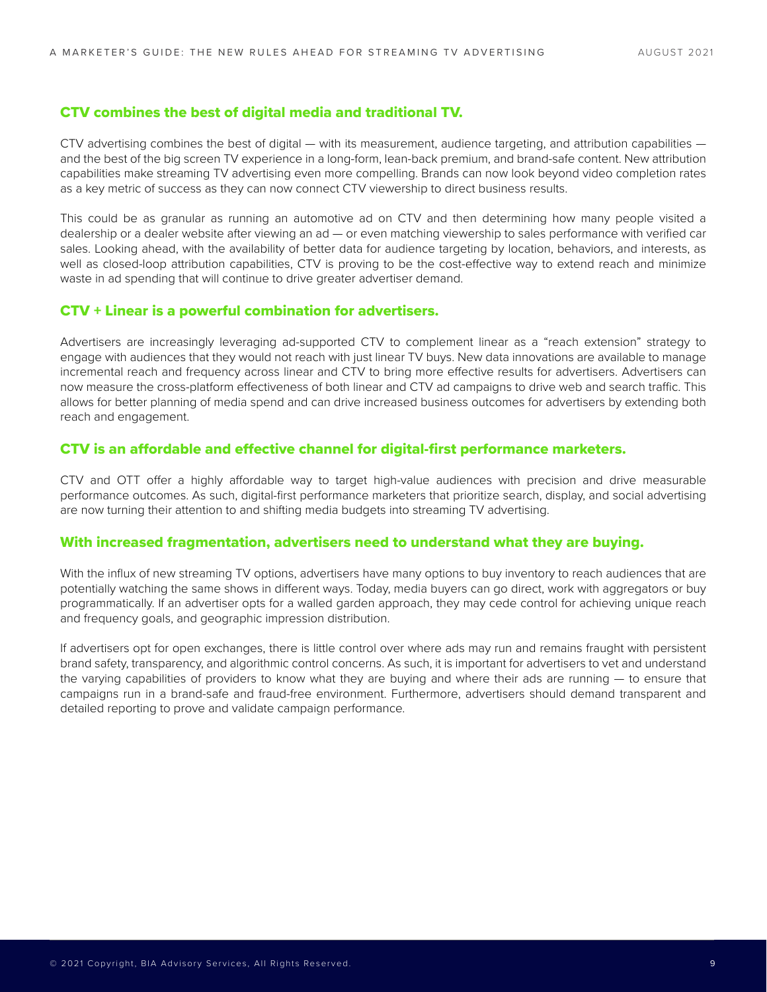#### CTV combines the best of digital media and traditional TV.

CTV advertising combines the best of digital — with its measurement, audience targeting, and attribution capabilities and the best of the big screen TV experience in a long-form, lean-back premium, and brand-safe content. New attribution capabilities make streaming TV advertising even more compelling. Brands can now look beyond video completion rates as a key metric of success as they can now connect CTV viewership to direct business results.

This could be as granular as running an automotive ad on CTV and then determining how many people visited a dealership or a dealer website after viewing an ad — or even matching viewership to sales performance with verified car sales. Looking ahead, with the availability of better data for audience targeting by location, behaviors, and interests, as well as closed-loop attribution capabilities, CTV is proving to be the cost-effective way to extend reach and minimize waste in ad spending that will continue to drive greater advertiser demand.

#### CTV + Linear is a powerful combination for advertisers.

Advertisers are increasingly leveraging ad-supported CTV to complement linear as a "reach extension" strategy to engage with audiences that they would not reach with just linear TV buys. New data innovations are available to manage incremental reach and frequency across linear and CTV to bring more effective results for advertisers. Advertisers can now measure the cross-platform effectiveness of both linear and CTV ad campaigns to drive web and search traffic. This allows for better planning of media spend and can drive increased business outcomes for advertisers by extending both reach and engagement.

#### CTV is an affordable and effective channel for digital-first performance marketers.

CTV and OTT offer a highly affordable way to target high-value audiences with precision and drive measurable performance outcomes. As such, digital-first performance marketers that prioritize search, display, and social advertising are now turning their attention to and shifting media budgets into streaming TV advertising.

#### With increased fragmentation, advertisers need to understand what they are buying.

With the influx of new streaming TV options, advertisers have many options to buy inventory to reach audiences that are potentially watching the same shows in different ways. Today, media buyers can go direct, work with aggregators or buy programmatically. If an advertiser opts for a walled garden approach, they may cede control for achieving unique reach and frequency goals, and geographic impression distribution.

If advertisers opt for open exchanges, there is little control over where ads may run and remains fraught with persistent brand safety, transparency, and algorithmic control concerns. As such, it is important for advertisers to vet and understand the varying capabilities of providers to know what they are buying and where their ads are running — to ensure that campaigns run in a brand-safe and fraud-free environment. Furthermore, advertisers should demand transparent and detailed reporting to prove and validate campaign performance.